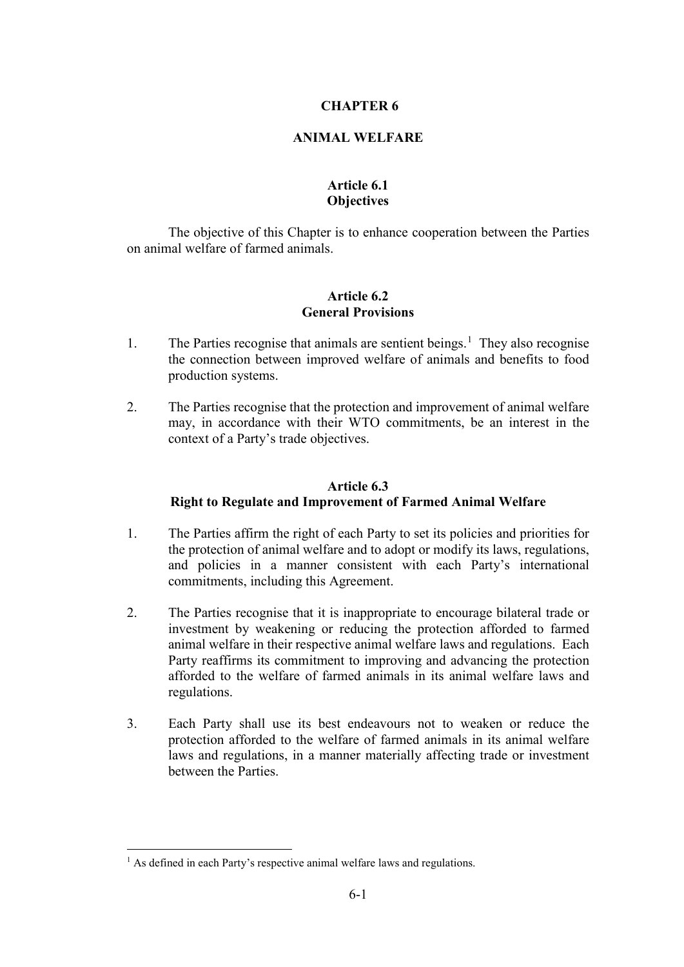### **CHAPTER 6**

### **ANIMAL WELFARE**

## **Article 6.1 Objectives**

The objective of this Chapter is to enhance cooperation between the Parties on animal welfare of farmed animals.

### **Article 6.2 General Provisions**

- [1](#page-0-0). The Parties recognise that animals are sentient beings.<sup>1</sup> They also recognise the connection between improved welfare of animals and benefits to food production systems.
- 2. The Parties recognise that the protection and improvement of animal welfare may, in accordance with their WTO commitments, be an interest in the context of a Party's trade objectives.

# **Article 6.3 Right to Regulate and Improvement of Farmed Animal Welfare**

- 1. The Parties affirm the right of each Party to set its policies and priorities for the protection of animal welfare and to adopt or modify its laws, regulations, and policies in a manner consistent with each Party's international commitments, including this Agreement.
- 2. The Parties recognise that it is inappropriate to encourage bilateral trade or investment by weakening or reducing the protection afforded to farmed animal welfare in their respective animal welfare laws and regulations. Each Party reaffirms its commitment to improving and advancing the protection afforded to the welfare of farmed animals in its animal welfare laws and regulations.
- 3. Each Party shall use its best endeavours not to weaken or reduce the protection afforded to the welfare of farmed animals in its animal welfare laws and regulations, in a manner materially affecting trade or investment between the Parties.

<span id="page-0-0"></span> $<sup>1</sup>$  As defined in each Party's respective animal welfare laws and regulations.</sup>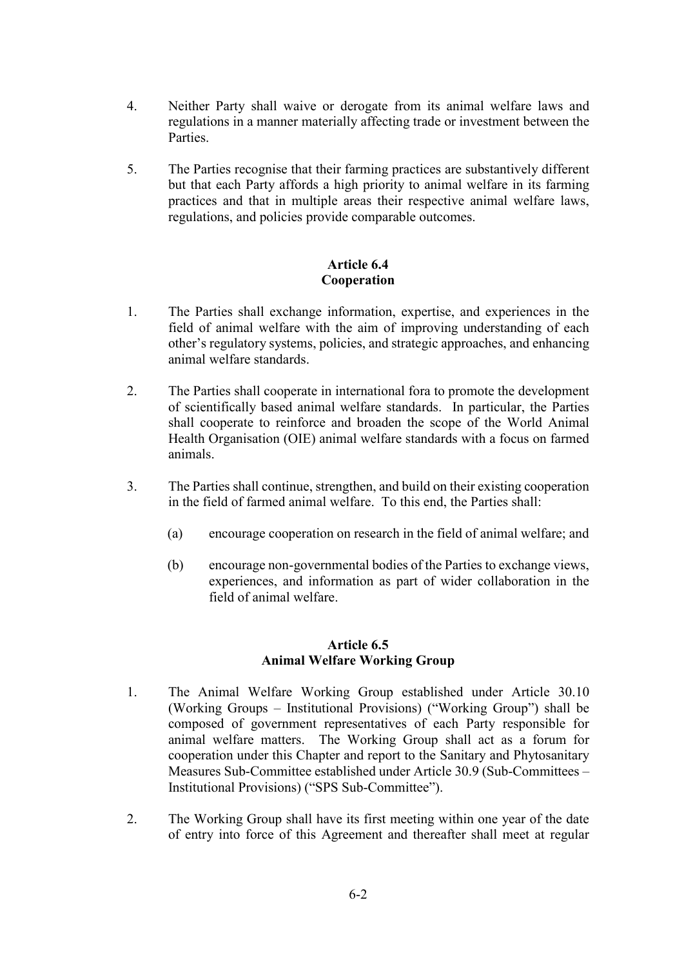- 4. Neither Party shall waive or derogate from its animal welfare laws and regulations in a manner materially affecting trade or investment between the Parties.
- 5. The Parties recognise that their farming practices are substantively different but that each Party affords a high priority to animal welfare in its farming practices and that in multiple areas their respective animal welfare laws, regulations, and policies provide comparable outcomes.

# **Article 6.4 Cooperation**

- 1. The Parties shall exchange information, expertise, and experiences in the field of animal welfare with the aim of improving understanding of each other's regulatory systems, policies, and strategic approaches, and enhancing animal welfare standards.
- 2. The Parties shall cooperate in international fora to promote the development of scientifically based animal welfare standards. In particular, the Parties shall cooperate to reinforce and broaden the scope of the World Animal Health Organisation (OIE) animal welfare standards with a focus on farmed animals.
- 3. The Parties shall continue, strengthen, and build on their existing cooperation in the field of farmed animal welfare. To this end, the Parties shall:
	- (a) encourage cooperation on research in the field of animal welfare; and
	- (b) encourage non-governmental bodies of the Parties to exchange views, experiences, and information as part of wider collaboration in the field of animal welfare.

### **Article 6.5 Animal Welfare Working Group**

- 1. The Animal Welfare Working Group established under Article 30.10 (Working Groups – Institutional Provisions) ("Working Group") shall be composed of government representatives of each Party responsible for animal welfare matters. The Working Group shall act as a forum for cooperation under this Chapter and report to the Sanitary and Phytosanitary Measures Sub-Committee established under Article 30.9 (Sub-Committees – Institutional Provisions) ("SPS Sub-Committee").
- 2. The Working Group shall have its first meeting within one year of the date of entry into force of this Agreement and thereafter shall meet at regular